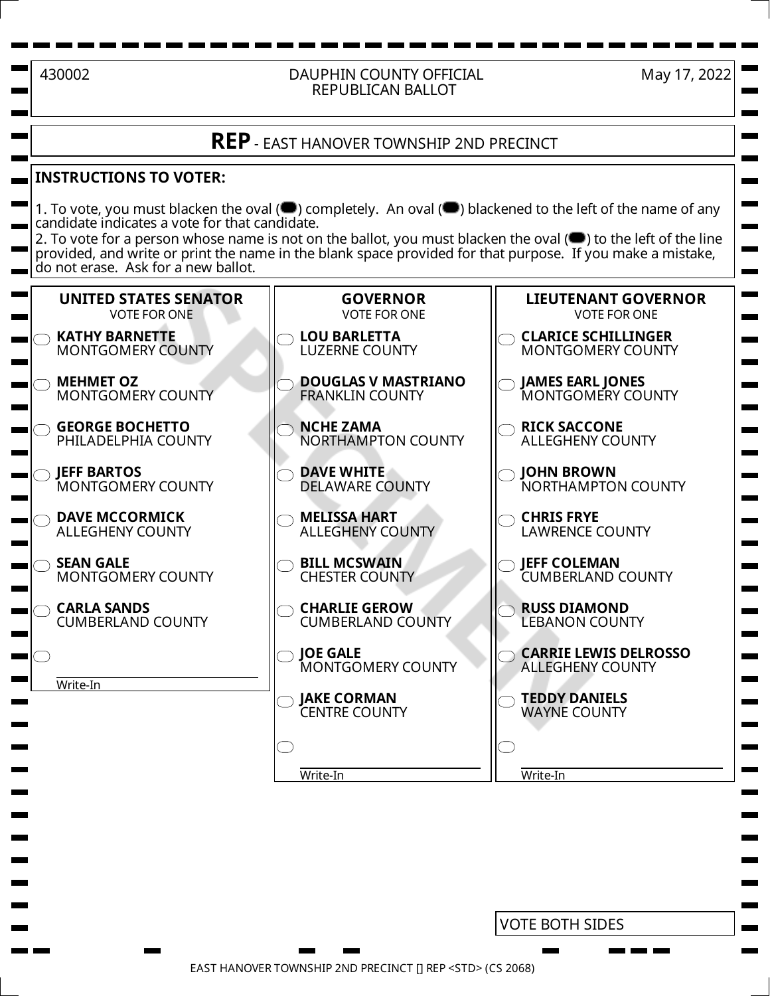## 430002 DAUPHIN COUNTY OFFICIAL REPUBLICAN BALLOT

May 17, 2022

## **REP**- EAST HANOVER TOWNSHIP 2ND PRECINCT

## **INSTRUCTIONS TO VOTER:**

1. To vote, you must blacken the oval (O) completely. An oval (O) blackened to the left of the name of any candidate indicates a vote for that candidate.

2. To vote for a person whose name is not on the ballot, you must blacken the oval  $($ **)** to the left of the line provided, and write or print the name in the blank space provided for that purpose. If you make a mistake, do not erase. Ask for a new ballot.



VOTE BOTH SIDES